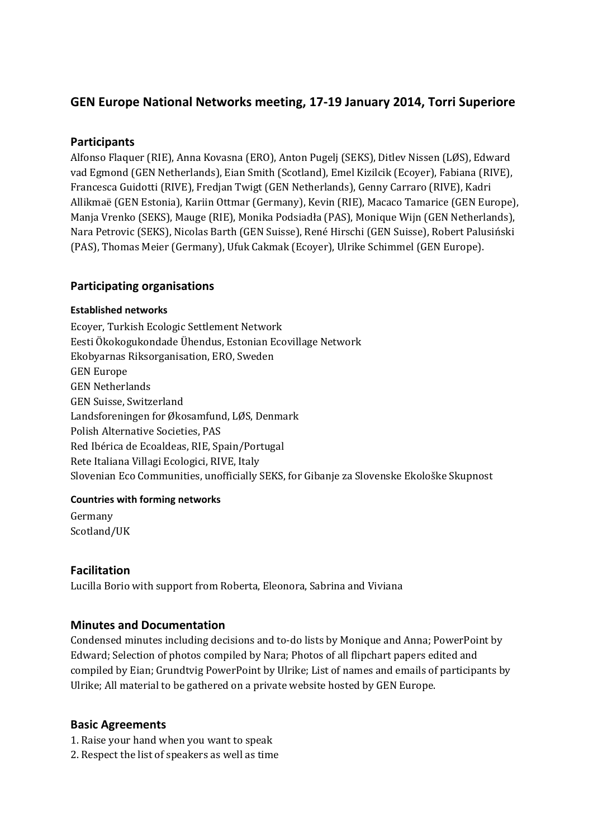# **GEN Europe National Networks meeting, 17-19 January 2014, Torri Superiore**

# **Participants**

Alfonso Flaquer (RIE), Anna Kovasna (ERO), Anton Pugelj (SEKS), Ditlev Nissen (LØS), Edward vad Egmond (GEN Netherlands), Eian Smith (Scotland), Emel Kizilcik (Ecoyer), Fabiana (RIVE), Francesca Guidotti (RIVE), Fredjan Twigt (GEN Netherlands), Genny Carraro (RIVE), Kadri Allikmaë (GEN Estonia), Kariin Ottmar (Germany), Kevin (RIE), Macaco Tamarice (GEN Europe), Manja Vrenko (SEKS), Mauge (RIE), Monika Podsiadła (PAS), Monique Wijn (GEN Netherlands), Nara Petrovic (SEKS), Nicolas Barth (GEN Suisse), René Hirschi (GEN Suisse), Robert Palusiński (PAS), Thomas Meier (Germany), Ufuk Cakmak (Ecoyer), Ulrike Schimmel (GEN Europe).

## **Participating organisations**

### **Established networks**

Ecoyer, Turkish Ecologic Settlement Network Eesti Ökokogukondade Ühendus, Estonian Ecovillage Network Ekobyarnas Riksorganisation, ERO, Sweden GEN Europe GEN Netherlands GEN Suisse, Switzerland Landsforeningen for Økosamfund, LØS, Denmark Polish Alternative Societies, PAS Red Ibérica de Ecoaldeas, RIE, Spain/Portugal Rete Italiana Villagi Ecologici, RIVE, Italy Slovenian Eco Communities, unofficially SEKS, for Gibanje za Slovenske Ekološke Skupnost

## **Countries with forming networks**

Germany Scotland/UK

## **Facilitation**

Lucilla Borio with support from Roberta, Eleonora, Sabrina and Viviana

## **Minutes and Documentation**

Condensed minutes including decisions and to-do lists by Monique and Anna; PowerPoint by Edward; Selection of photos compiled by Nara; Photos of all flipchart papers edited and compiled by Eian; Grundtvig PowerPoint by Ulrike; List of names and emails of participants by Ulrike; All material to be gathered on a private website hosted by GEN Europe.

## **Basic Agreements**

- 1. Raise your hand when you want to speak
- 2. Respect the list of speakers as well as time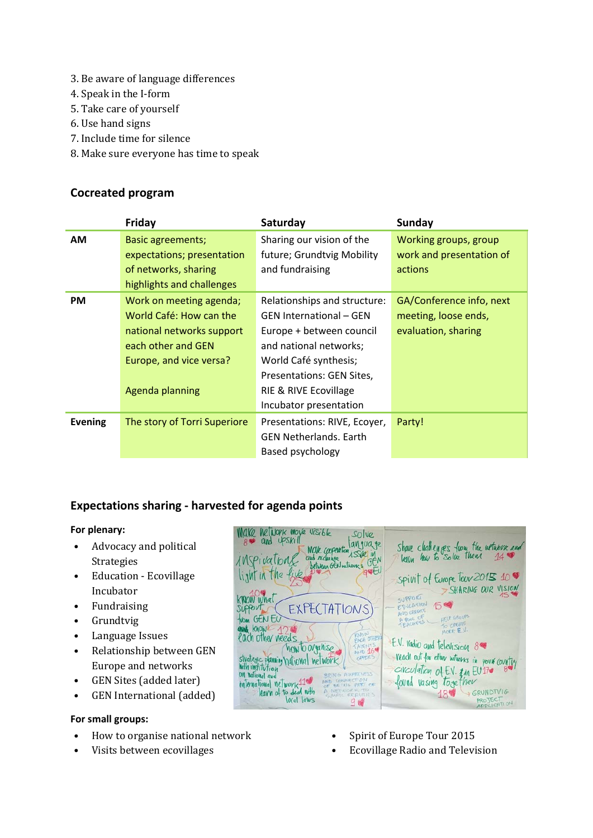- 3. Be aware of language differences
- 4. Speak in the I-form
- 5. Take care of yourself
- 6. Use hand signs
- 7. Include time for silence
- 8. Make sure everyone has time to speak

# **Cocreated program**

|                | Friday                       | Saturday                       | <b>Sunday</b>            |
|----------------|------------------------------|--------------------------------|--------------------------|
| <b>AM</b>      | <b>Basic agreements;</b>     | Sharing our vision of the      | Working groups, group    |
|                | expectations; presentation   | future; Grundtvig Mobility     | work and presentation of |
|                | of networks, sharing         | and fundraising                | actions                  |
|                | highlights and challenges    |                                |                          |
| <b>PM</b>      | Work on meeting agenda;      | Relationships and structure:   | GA/Conference info, next |
|                | World Café: How can the      | <b>GEN International - GEN</b> | meeting, loose ends,     |
|                | national networks support    | Europe + between council       | evaluation, sharing      |
|                | each other and GEN           | and national networks;         |                          |
|                | Europe, and vice versa?      | World Café synthesis;          |                          |
|                |                              | Presentations: GEN Sites,      |                          |
|                | Agenda planning              | RIE & RIVE Ecovillage          |                          |
|                |                              | Incubator presentation         |                          |
| <b>Evening</b> | The story of Torri Superiore | Presentations: RIVE, Ecoyer,   | Party!                   |
|                |                              | <b>GEN Netherlands, Earth</b>  |                          |
|                |                              | Based psychology               |                          |

# **Expectations sharing - harvested for agenda points**

### **For plenary:**

- Advocacy and political Strategies
- Education Ecovillage Incubator
- Fundraising
- Grundtvig
- Language Issues
- Relationship between GEN Europe and networks
- GEN Sites (added later)
- GEN International (added)

### **For small groups:**

- How to organise national network
- Visits between ecovillages



- Spirit of Europe Tour 2015
- Ecovillage Radio and Television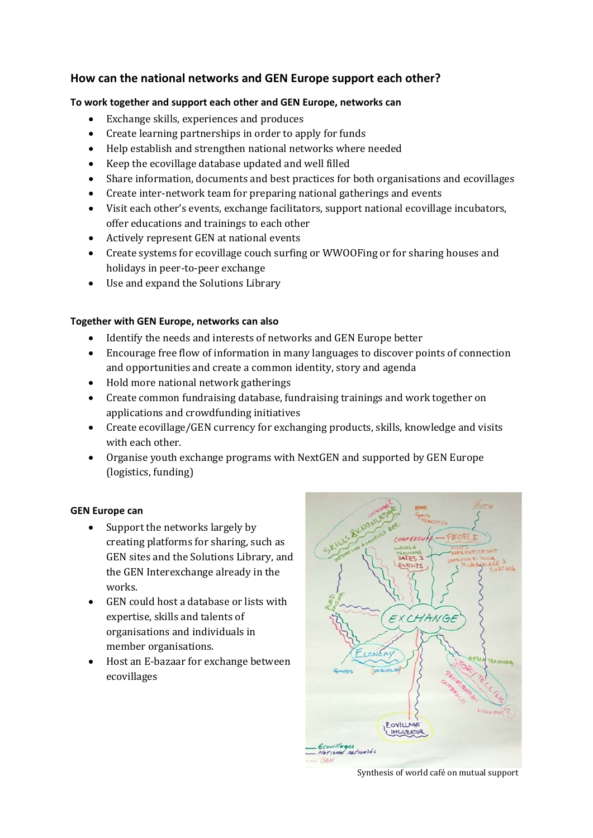# **How can the national networks and GEN Europe support each other?**

### **To work together and support each other and GEN Europe, networks can**

- Exchange skills, experiences and produces
- Create learning partnerships in order to apply for funds
- Help establish and strengthen national networks where needed
- Keep the ecovillage database updated and well filled
- Share information, documents and best practices for both organisations and ecovillages
- Create inter-network team for preparing national gatherings and events
- Visit each other's events, exchange facilitators, support national ecovillage incubators, offer educations and trainings to each other
- Actively represent GEN at national events
- Create systems for ecovillage couch surfing or WWOOFing or for sharing houses and holidays in peer-to-peer exchange
- Use and expand the Solutions Library

### **Together with GEN Europe, networks can also**

- Identify the needs and interests of networks and GEN Europe better
- Encourage free flow of information in many languages to discover points of connection and opportunities and create a common identity, story and agenda
- Hold more national network gatherings
- Create common fundraising database, fundraising trainings and work together on applications and crowdfunding initiatives
- Create ecovillage/GEN currency for exchanging products, skills, knowledge and visits with each other.
- Organise youth exchange programs with NextGEN and supported by GEN Europe (logistics, funding)

### **GEN Europe can**

- Support the networks largely by creating platforms for sharing, such as GEN sites and the Solutions Library, and the GEN Interexchange already in the works.
- GEN could host a database or lists with expertise, skills and talents of organisations and individuals in member organisations.
- Host an E-bazaar for exchange between ecovillages



Synthesis of world café on mutual support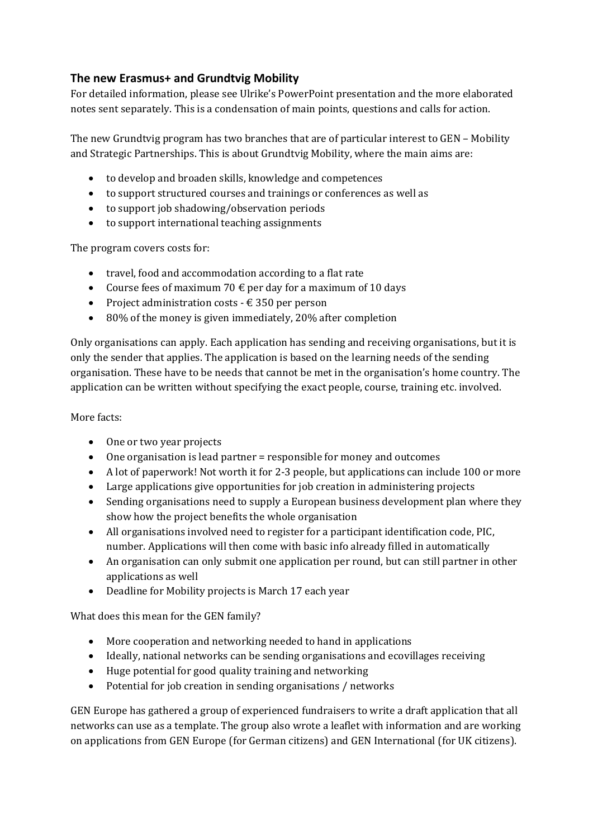# **The new Erasmus+ and Grundtvig Mobility**

For detailed information, please see Ulrike's PowerPoint presentation and the more elaborated notes sent separately. This is a condensation of main points, questions and calls for action.

The new Grundtvig program has two branches that are of particular interest to GEN – Mobility and Strategic Partnerships. This is about Grundtvig Mobility, where the main aims are:

- to develop and broaden skills, knowledge and competences
- to support structured courses and trainings or conferences as well as
- to support job shadowing/observation periods
- to support international teaching assignments

The program covers costs for:

- travel, food and accommodation according to a flat rate
- Course fees of maximum 70  $\epsilon$  per day for a maximum of 10 days
- Project administration costs  $-\epsilon$  350 per person
- 80% of the money is given immediately, 20% after completion

Only organisations can apply. Each application has sending and receiving organisations, but it is only the sender that applies. The application is based on the learning needs of the sending organisation. These have to be needs that cannot be met in the organisation's home country. The application can be written without specifying the exact people, course, training etc. involved.

### More facts:

- One or two year projects
- One organisation is lead partner = responsible for money and outcomes
- A lot of paperwork! Not worth it for 2-3 people, but applications can include 100 or more
- Large applications give opportunities for job creation in administering projects
- Sending organisations need to supply a European business development plan where they show how the project benefits the whole organisation
- All organisations involved need to register for a participant identification code, PIC, number. Applications will then come with basic info already filled in automatically
- An organisation can only submit one application per round, but can still partner in other applications as well
- Deadline for Mobility projects is March 17 each year

What does this mean for the GEN family?

- More cooperation and networking needed to hand in applications
- Ideally, national networks can be sending organisations and ecovillages receiving
- Huge potential for good quality training and networking
- Potential for job creation in sending organisations / networks

GEN Europe has gathered a group of experienced fundraisers to write a draft application that all networks can use as a template. The group also wrote a leaflet with information and are working on applications from GEN Europe (for German citizens) and GEN International (for UK citizens).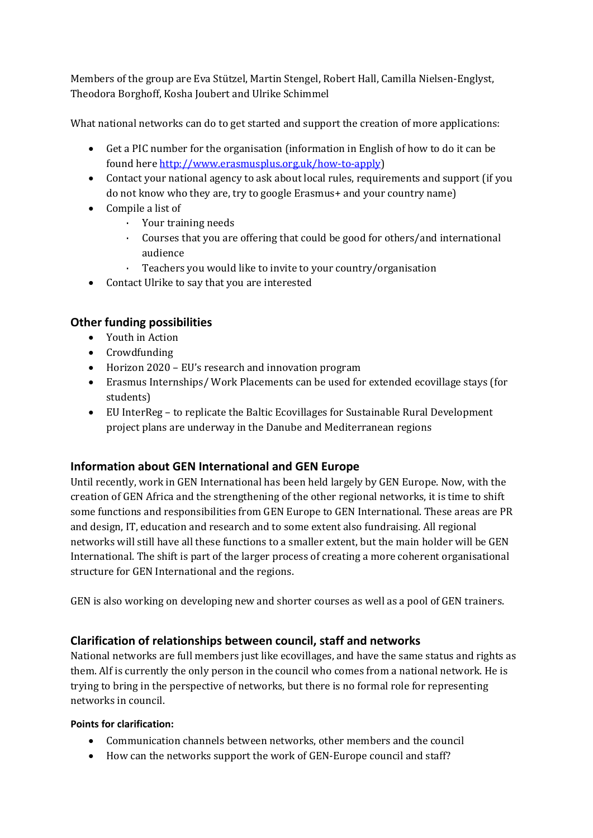Members of the group are Eva Stützel, Martin Stengel, Robert Hall, Camilla Nielsen-Englyst, Theodora Borghoff, Kosha Joubert and Ulrike Schimmel

What national networks can do to get started and support the creation of more applications:

- Get a PIC number for the organisation (information in English of how to do it can be found her[e http://www.erasmusplus.org.uk/how-to-apply\)](http://www.erasmusplus.org.uk/how-to-apply)
- Contact your national agency to ask about local rules, requirements and support (if you do not know who they are, try to google Erasmus+ and your country name)
- Compile a list of
	- · Your training needs
	- · Courses that you are offering that could be good for others/and international audience
	- Teachers you would like to invite to your country/organisation
- Contact Ulrike to say that you are interested

# **Other funding possibilities**

- Youth in Action
- Crowdfunding
- Horizon 2020 EU's research and innovation program
- Erasmus Internships/ Work Placements can be used for extended ecovillage stays (for students)
- EU InterReg to replicate the Baltic Ecovillages for Sustainable Rural Development project plans are underway in the Danube and Mediterranean regions

# **Information about GEN International and GEN Europe**

Until recently, work in GEN International has been held largely by GEN Europe. Now, with the creation of GEN Africa and the strengthening of the other regional networks, it is time to shift some functions and responsibilities from GEN Europe to GEN International. These areas are PR and design, IT, education and research and to some extent also fundraising. All regional networks will still have all these functions to a smaller extent, but the main holder will be GEN International. The shift is part of the larger process of creating a more coherent organisational structure for GEN International and the regions.

GEN is also working on developing new and shorter courses as well as a pool of GEN trainers.

# **Clarification of relationships between council, staff and networks**

National networks are full members just like ecovillages, and have the same status and rights as them. Alf is currently the only person in the council who comes from a national network. He is trying to bring in the perspective of networks, but there is no formal role for representing networks in council.

### **Points for clarification:**

- Communication channels between networks, other members and the council
- How can the networks support the work of GEN-Europe council and staff?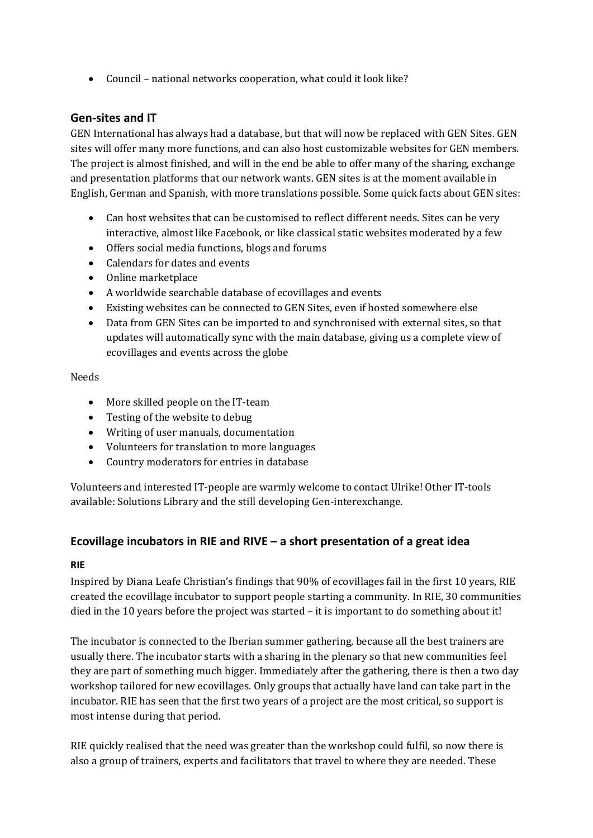• Council – national networks cooperation, what could it look like?

## **Gen-sites and IT**

GEN International has always had a database, but that will now be replaced with GEN Sites. GEN sites will offer many more functions, and can also host customizable websites for GEN members. The project is almost finished, and will in the end be able to offer many of the sharing, exchange and presentation platforms that our network wants. GEN sites is at the moment available in English, German and Spanish, with more translations possible. Some quick facts about GEN sites:

- Can host websites that can be customised to reflect different needs. Sites can be very interactive, almost like Facebook, or like classical static websites moderated by a few
- Offers social media functions, blogs and forums
- Calendars for dates and events
- Online marketplace
- A worldwide searchable database of ecovillages and events
- Existing websites can be connected to GEN Sites, even if hosted somewhere else
- Data from GEN Sites can be imported to and synchronised with external sites, so that updates will automatically sync with the main database, giving us a complete view of ecovillages and events across the globe

#### Needs

- More skilled people on the IT-team
- Testing of the website to debug
- Writing of user manuals, documentation
- Volunteers for translation to more languages
- Country moderators for entries in database

Volunteers and interested IT-people are warmly welcome to contact Ulrike! Other IT-tools available: Solutions Library and the still developing Gen-interexchange.

## **Ecovillage incubators in RIE and RIVE – a short presentation of a great idea**

## **RIE**

Inspired by Diana Leafe Christian's findings that 90% of ecovillages fail in the first 10 years, RIE created the ecovillage incubator to support people starting a community. In RIE, 30 communities died in the 10 years before the project was started – it is important to do something about it!

The incubator is connected to the Iberian summer gathering, because all the best trainers are usually there. The incubator starts with a sharing in the plenary so that new communities feel they are part of something much bigger. Immediately after the gathering, there is then a two day workshop tailored for new ecovillages. Only groups that actually have land can take part in the incubator. RIE has seen that the first two years of a project are the most critical, so support is most intense during that period.

RIE quickly realised that the need was greater than the workshop could fulfil, so now there is also a group of trainers, experts and facilitators that travel to where they are needed. These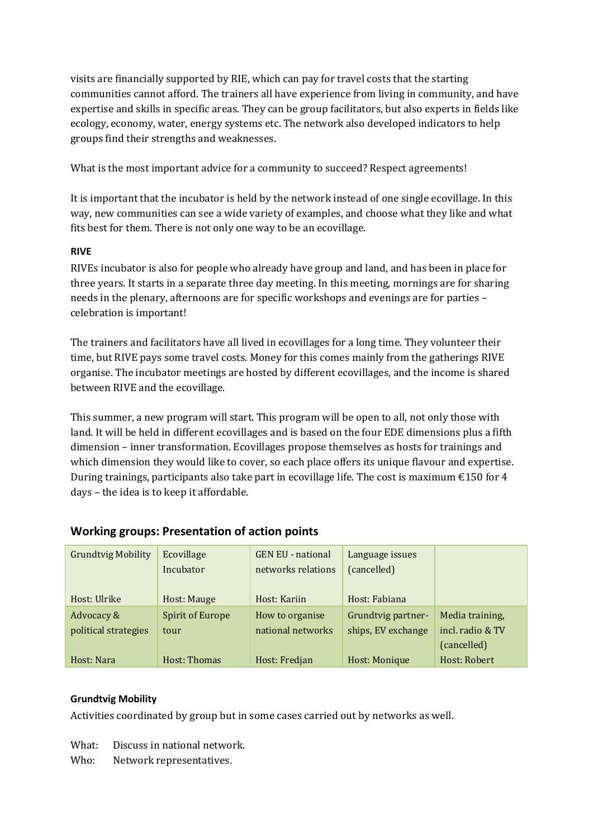visits are financially supported by RIE, which can pay for travel costs that the starting communities cannot afford. The trainers all have experience from living in community, and have expertise and skills in specific areas. They can be group facilitators, but also experts in fields like ecology, economy, water, energy systems etc. The network also developed indicators to help groups find their strengths and weaknesses.

What is the most important advice for a community to succeed? Respect agreements!

It is important that the incubator is held by the network instead of one single ecovillage. In this way, new communities can see a wide variety of examples, and choose what they like and what fits best for them. There is not only one way to be an ecovillage.

### **RIVE**

RIVEs incubator is also for people who already have group and land, and has been in place for three years. It starts in a separate three day meeting. In this meeting, mornings are for sharing needs in the plenary, afternoons are for specific workshops and evenings are for parties – celebration is important!

The trainers and facilitators have all lived in ecovillages for a long time. They volunteer their time, but RIVE pays some travel costs. Money for this comes mainly from the gatherings RIVE organise. The incubator meetings are hosted by different ecovillages, and the income is shared between RIVE and the ecovillage.

This summer, a new program will start. This program will be open to all, not only those with land. It will be held in different ecovillages and is based on the four EDE dimensions plus a fifth dimension – inner transformation. Ecovillages propose themselves as hosts for trainings and which dimension they would like to cover, so each place offers its unique flavour and expertise. During trainings, participants also take part in ecovillage life. The cost is maximum  $\epsilon$ 150 for 4 days – the idea is to keep it affordable.

| <b>Working groups: Presentation of action points</b> |  |  |  |
|------------------------------------------------------|--|--|--|
|------------------------------------------------------|--|--|--|

| <b>Grundtvig Mobility</b> | Ecovillage<br>Incubator | <b>GEN EU - national</b><br>networks relations | Language issues<br>(cancelled) |                  |
|---------------------------|-------------------------|------------------------------------------------|--------------------------------|------------------|
| Host: Ulrike              | Host: Mauge             | Host: Kariin                                   | Host: Fabiana                  |                  |
| Advocacy &                | <b>Spirit of Europe</b> | How to organise                                | Grundtvig partner-             | Media training,  |
| political strategies      | tour                    | national networks                              | ships, EV exchange             | incl. radio & TV |
|                           |                         |                                                |                                | (cancelled)      |
| Host: Nara                | Host: Thomas            | Host: Fredjan                                  | Host: Monique                  | Host: Robert     |

### **Grundtvig Mobility**

Activities coordinated by group but in some cases carried out by networks as well.

What: Discuss in national network.

Who: Network representatives.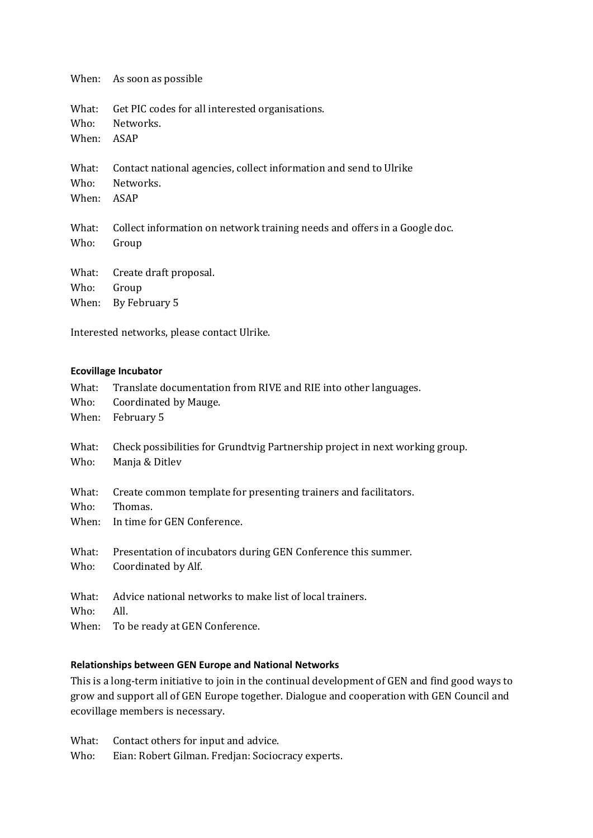When: As soon as possible

What: Get PIC codes for all interested organisations. Who: Networks.

When: ASAP

What: Contact national agencies, collect information and send to Ulrike Who: Networks. Networks.

When: ASAP

What: Collect information on network training needs and offers in a Google doc. Who: Group

|            | What: Create draft proposal. |
|------------|------------------------------|
| Who: Group |                              |
|            | When: By February 5          |

Interested networks, please contact Ulrike.

#### **Ecovillage Incubator**

| What: | Translate documentation from RIVE and RIE into other languages.              |
|-------|------------------------------------------------------------------------------|
| Who:  | Coordinated by Mauge.                                                        |
| When: | February 5                                                                   |
| What: | Check possibilities for Grundtvig Partnership project in next working group. |
| Who:  | Manja & Ditlev                                                               |
| What: | Create common template for presenting trainers and facilitators.             |
| Who:  | Thomas.                                                                      |
| When: | In time for GEN Conference.                                                  |
| What: | Presentation of incubators during GEN Conference this summer.                |
| Who:  | Coordinated by Alf.                                                          |
| What: | Advice national networks to make list of local trainers.                     |
| Who:  | All.                                                                         |
| When: | To be ready at GEN Conference.                                               |

#### **Relationships between GEN Europe and National Networks**

This is a long-term initiative to join in the continual development of GEN and find good ways to grow and support all of GEN Europe together. Dialogue and cooperation with GEN Council and ecovillage members is necessary.

What: Contact others for input and advice.

Who: Eian: Robert Gilman. Fredjan: Sociocracy experts.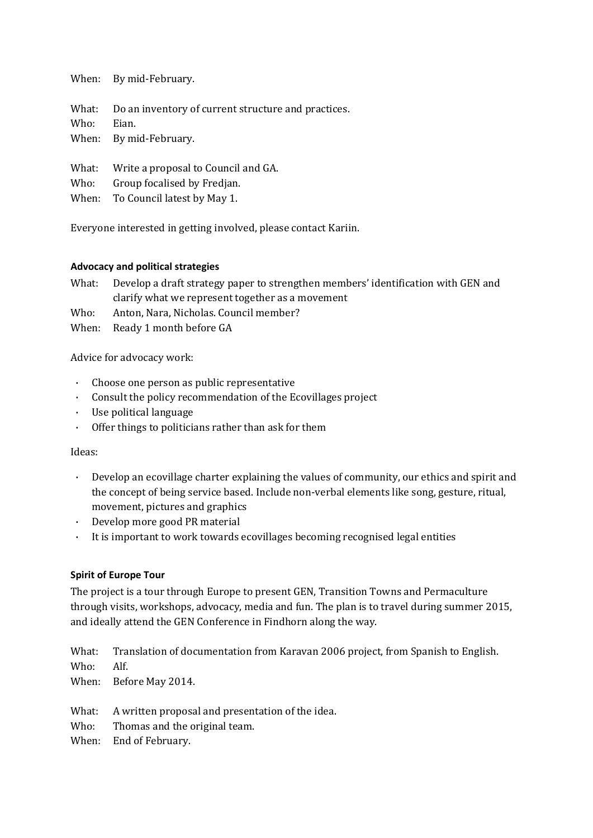When: By mid-February.

What: Do an inventory of current structure and practices. Who: Eian. When: By mid-February.

What: Write a proposal to Council and GA.

Who: Group focalised by Fredjan.

When: To Council latest by May 1.

Everyone interested in getting involved, please contact Kariin.

#### **Advocacy and political strategies**

What: Develop a draft strategy paper to strengthen members' identification with GEN and clarify what we represent together as a movement

Who: Anton, Nara, Nicholas. Council member?

When: Ready 1 month before GA

Advice for advocacy work:

- · Choose one person as public representative
- · Consult the policy recommendation of the Ecovillages project
- Use political language
- · Offer things to politicians rather than ask for them

#### Ideas:

- · Develop an ecovillage charter explaining the values of community, our ethics and spirit and the concept of being service based. Include non-verbal elements like song, gesture, ritual, movement, pictures and graphics
- · Develop more good PR material
- · It is important to work towards ecovillages becoming recognised legal entities

#### **Spirit of Europe Tour**

The project is a tour through Europe to present GEN, Transition Towns and Permaculture through visits, workshops, advocacy, media and fun. The plan is to travel during summer 2015, and ideally attend the GEN Conference in Findhorn along the way.

What: Translation of documentation from Karavan 2006 project, from Spanish to English. Who: Alf.

When: Before May 2014.

What: A written proposal and presentation of the idea.

- Who: Thomas and the original team.
- When: End of February.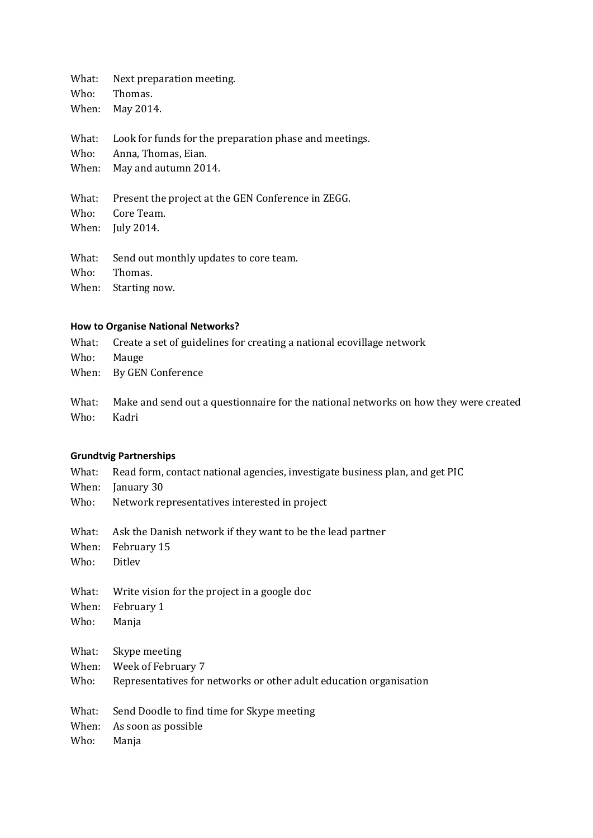What: Next preparation meeting.<br>Who: Thomas.

Thomas.

When: May 2014.

What: Look for funds for the preparation phase and meetings.

Who: Anna, Thomas, Eian.

When: May and autumn 2014.

What: Present the project at the GEN Conference in ZEGG.<br>Who: Core Team.

Core Team.

When: July 2014.

What: Send out monthly updates to core team.<br>Who: Thomas.

Thomas.

When: Starting now.

#### **How to Organise National Networks?**

What: Create a set of guidelines for creating a national ecovillage network Who: Mauge When: By GEN Conference

What: Make and send out a questionnaire for the national networks on how they were created Who: Kadri

#### **Grundtvig Partnerships**

- What: Read form, contact national agencies, investigate business plan, and get PIC
- When: January 30
- Who: Network representatives interested in project

| What: | Ask the Danish network if they want to be the lead partner |
|-------|------------------------------------------------------------|
|-------|------------------------------------------------------------|

- When: February 15<br>Who: Ditlev
- Ditlev
- What: Write vision for the project in a google doc
- When: February 1
- Who: Manja
- What: Skype meeting

When: Week of February 7

- Who: Representatives for networks or other adult education organisation
- What: Send Doodle to find time for Skype meeting
- When: As soon as possible
- Who: Manja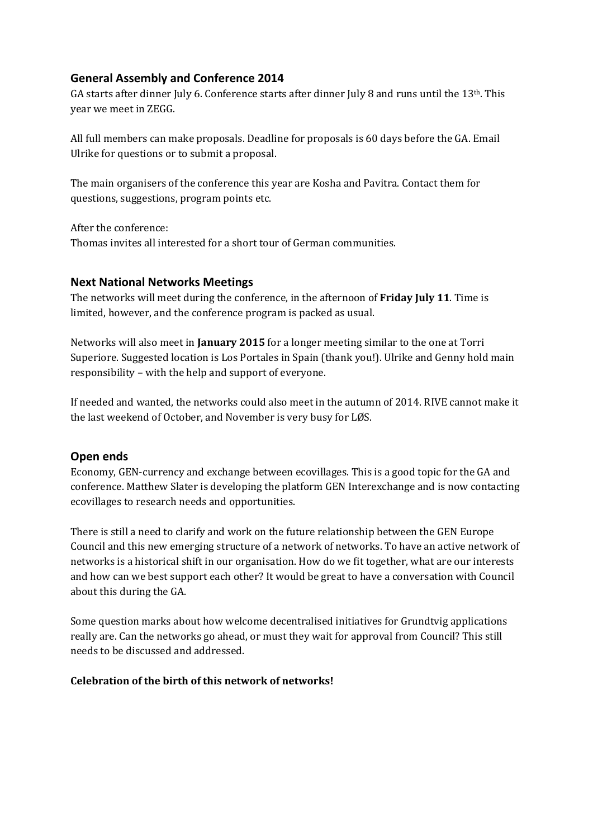# **General Assembly and Conference 2014**

GA starts after dinner July 6. Conference starts after dinner July 8 and runs until the 13th. This year we meet in ZEGG.

All full members can make proposals. Deadline for proposals is 60 days before the GA. Email Ulrike for questions or to submit a proposal.

The main organisers of the conference this year are Kosha and Pavitra. Contact them for questions, suggestions, program points etc.

After the conference: Thomas invites all interested for a short tour of German communities.

## **Next National Networks Meetings**

The networks will meet during the conference, in the afternoon of **Friday July 11**. Time is limited, however, and the conference program is packed as usual.

Networks will also meet in **January 2015** for a longer meeting similar to the one at Torri Superiore. Suggested location is Los Portales in Spain (thank you!). Ulrike and Genny hold main responsibility – with the help and support of everyone.

If needed and wanted, the networks could also meet in the autumn of 2014. RIVE cannot make it the last weekend of October, and November is very busy for LØS.

## **Open ends**

Economy, GEN-currency and exchange between ecovillages. This is a good topic for the GA and conference. Matthew Slater is developing the platform GEN Interexchange and is now contacting ecovillages to research needs and opportunities.

There is still a need to clarify and work on the future relationship between the GEN Europe Council and this new emerging structure of a network of networks. To have an active network of networks is a historical shift in our organisation. How do we fit together, what are our interests and how can we best support each other? It would be great to have a conversation with Council about this during the GA.

Some question marks about how welcome decentralised initiatives for Grundtvig applications really are. Can the networks go ahead, or must they wait for approval from Council? This still needs to be discussed and addressed.

### **Celebration of the birth of this network of networks!**